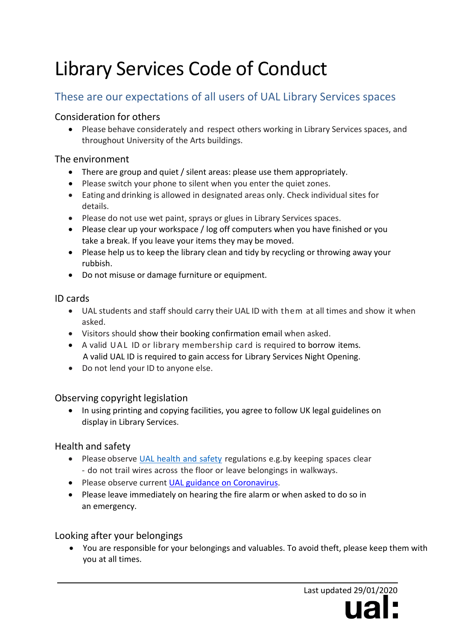# Library Services Code of Conduct

## These are our expectations of all users of UAL Library Services spaces

#### Consideration for others

• Please behave considerately and respect others working in Library Services spaces, and throughout University of the Arts buildings.

#### The environment

- There are group and quiet / silent areas: please use them appropriately.
- Please switch your phone to silent when you enter the quiet zones.
- Eating and drinking is allowed in designated areas only. Check individual sites for details.
- Please do not use wet paint, sprays or glues in Library Services spaces.
- Please clear up your workspace / log off computers when you have finished or you take a break. If you leave your items they may be moved.
- Please help us to keep the library clean and tidy by recycling or throwing away your rubbish.
- Do not misuse or damage furniture or equipment.

#### ID cards

- UAL students and staff should carry their UAL ID with them at all times and show it when asked.
- Visitors should show their booking confirmation email when asked.
- A valid UAL ID or library membership card is required to borrow items. A valid UAL ID is required to gain access for Library Services Night Opening.
- Do not lend your ID to anyone else.

### Observing copyright legislation

• In using printing and copying facilities, you agree to follow UK [legal guidelines o](https://www.arts.ac.uk/students/library-services/customer-services/copyright)n display in Library Services.

#### Health and safety

- Please observe UAL [health](https://www.arts.ac.uk/students/health-and-safety-for-students) and safety regulations e.g.by keeping spaces clear - do not trail wires across the floor or leave belongings in walkways.
- Please observe current [UAL guidance on Coronavirus.](https://www.arts.ac.uk/coronavirus-important-guidance)
- Please leave immediately on hearing the fire alarm or when asked to do so in an emergency.

#### Looking after your belongings

• You are responsible for your belongings and valuables. To avoid theft, please keep them with you at all times.

> Last updated 29/01/2020 ual·